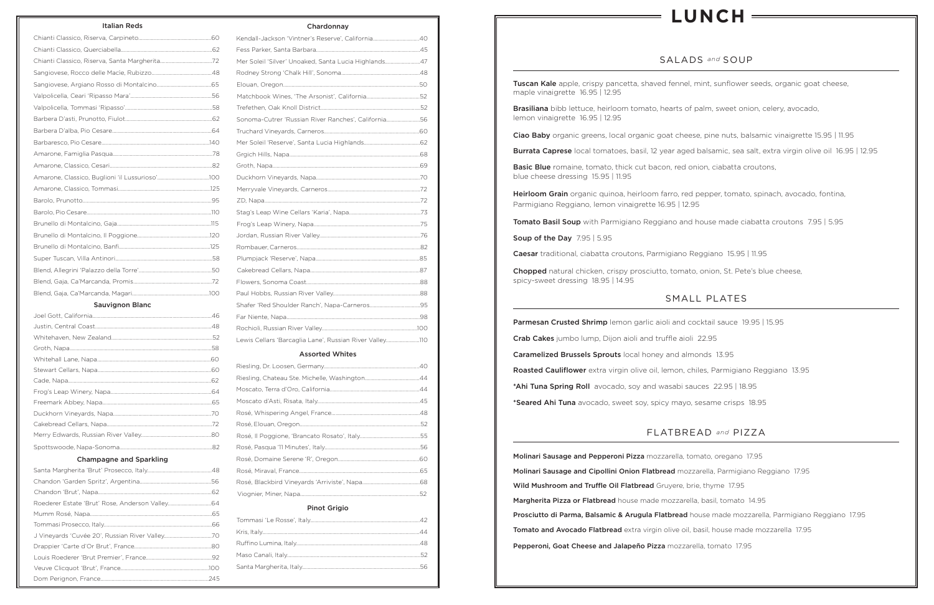# SALADS *and* SOUP

Tuscan Kale apple, crispy pancetta, shaved fennel, mint, sunflower seeds, organic goat cheese, maple vinaigrette 16.95 | 12.95

Brasiliana bibb lettuce, heirloom tomato, hearts of palm, sweet onion, celery, avocado, lemon vinaigrette 16.95 | 12.95

Ciao Baby organic greens, local organic goat cheese, pine nuts, balsamic vinaigrette 15.95 | 11.95 Burrata Caprese local tomatoes, basil, 12 year aged balsamic, sea salt, extra virgin olive oil 16.95 | 12.95

Basic Blue romaine, tomato, thick cut bacon, red onion, ciabatta croutons, blue cheese dressing 15.95 | 11.95

Heirloom Grain organic quinoa, heirloom farro, red pepper, tomato, spinach, avocado, fontina, Parmigiano Reggiano, lemon vinaigrette 16.95 | 12.95

Tomato Basil Soup with Parmigiano Reggiano and house made ciabatta croutons 7.95 | 5.95

Soup of the Day 7.95 | 5.95

Caesar traditional, ciabatta croutons, Parmigiano Reggiano 15.95 | 11.95

Chopped natural chicken, crispy prosciutto, tomato, onion, St. Pete's blue cheese, spicy-sweet dressing 18.95 | 14.95

Parmesan Crusted Shrimp lemon garlic aioli and cocktail sauce 19.95 | 15.95 Crab Cakes jumbo lump, Dijon aioli and truffle aioli 22.95 Caramelized Brussels Sprouts local honey and almonds 13.95 Roasted Cauliflower extra virgin olive oil, lemon, chiles, Parmigiano Reggiano 13.95 \*Ahi Tuna Spring Roll avocado, soy and wasabi sauces 22.95 | 18.95 \*Seared Ahi Tuna avocado, sweet soy, spicy mayo, sesame crisps 18.95

Molinari Sausage and Pepperoni Pizza mozzarella, tomato, oregano 17.95 Molinari Sausage and Cipollini Onion Flatbread mozzarella, Parmigiano Reggiano 17.95 Wild Mushroom and Truffle Oil Flatbread Gruyere, brie, thyme 17.95 Margherita Pizza or Flatbread house made mozzarella, basil, tomato 14.95 Prosciutto di Parma, Balsamic & Arugula Flatbread house made mozzarella, Parmigiano Reggiano 17.95 Tomato and Avocado Flatbread extra virgin olive oil, basil, house made mozzarella 17.95 Pepperoni, Goat Cheese and Jalapeño Pizza mozzarella, tomato 17.95

# SMALL PLATES

# FLATBREAD *and* PIZZA

#### Italian Reds

# Sauvignon Blanc

### Champagne and Sparkling

Chardonnay

| Kendall-Jackson 'Vintner's Reserve', California40       |  |
|---------------------------------------------------------|--|
|                                                         |  |
| Mer Soleil 'Silver' Unoaked, Santa Lucia Highlands47    |  |
|                                                         |  |
|                                                         |  |
|                                                         |  |
|                                                         |  |
| Sonoma-Cutrer 'Russian River Ranches', California56     |  |
|                                                         |  |
|                                                         |  |
|                                                         |  |
|                                                         |  |
|                                                         |  |
|                                                         |  |
|                                                         |  |
|                                                         |  |
|                                                         |  |
|                                                         |  |
|                                                         |  |
|                                                         |  |
|                                                         |  |
|                                                         |  |
|                                                         |  |
|                                                         |  |
|                                                         |  |
|                                                         |  |
| Lewis Cellars 'Barcaglia Lane', Russian River Valley110 |  |

### Assorted Whites

# Pinot Grigio

# **LUNCH**